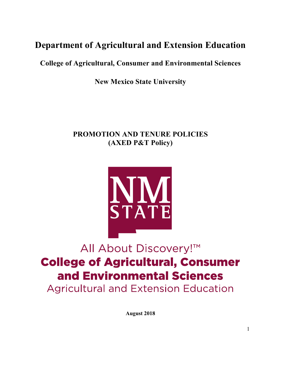# **Department of Agricultural and Extension Education**

 **College of Agricultural, Consumer and Environmental Sciences** 

 **New Mexico State University** 

# **PROMOTION AND TENURE POLICIES (AXED P&T Policy)**



# All About Discovery!™ **College of Agricultural, Consumer** and Environmental Sciences **Agricultural and Extension Education**

**August 2018**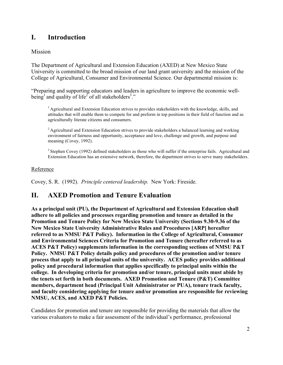#### **I**. **I. Introduction**

### Mission

 The Department of Agricultural and Extension Education (AXED) at New Mexico State University is committed to the broad mission of our land grant university and the mission of the College of Agricultural, Consumer and Environmental Science. Our departmental mission is:

"Preparing and supporting educators and leaders in agriculture to improve the economic wellbeing<sup>1</sup> and quality of life<sup>2</sup> of all stakeholders<sup>3</sup>."

 $<sup>1</sup>$  Agricultural and Extension Education strives to provides stakeholders with the knowledge, skills, and</sup> attitudes that will enable them to compete for and preform in top positions in their field of function and as agriculturally literate citizens and consumers.

 $2$  Agricultural and Extension Education strives to provide stakeholders a balanced learning and working environment of fairness and opportunity, acceptance and love, challenge and growth, and purpose and meaning (Covey, 1992).

 $3$  Stephen Covey (1992) defined stakeholders as those who will suffer if the enterprise fails. Agricultural and Extension Education has an extensive network, therefore, the department strives to serve many stakeholders.

### Reference

Covey, S. R. (1992). *Principle centered leadership.* New York: Fireside.

#### **AXED Promotion and Tenure Evaluation**

 **the tenets set forth in both documents. AXED Promotion and Tenure (P&T) Committee NMSU, ACES, and AXED P&T Policies. As a principal unit (PU), the Department of Agricultural and Extension Education shall adhere to all policies and processes regarding promotion and tenure as detailed in the Promotion and Tenure Policy for New Mexico State University (Sections [9.30-9.36](https://9.30-9.36) of the New Mexico State University Administrative Rules and Procedures [ARP] hereafter referred to as NMSU P&T Policy). Information in the College of Agricultural, Consumer and Environmental Sciences Criteria for Promotion and Tenure (hereafter referred to as ACES P&T Policy) supplements information in the corresponding sections of NMSU P&T Policy. NMSU P&T Policy details policy and procedures of the promotion and/or tenure process that apply to all principal units of the university. ACES policy provides additional policy and procedural information that applies specifically to principal units within the college. In developing criteria for promotion and/or tenure, principal units must abide by members, department head (Principal Unit Administrator or PUA), tenure track faculty, and faculty considering applying for tenure and/or promotion are responsible for reviewing** 

Candidates for promotion and tenure are responsible for providing the materials that allow the various evaluators to make a fair assessment of the individual's performance, professional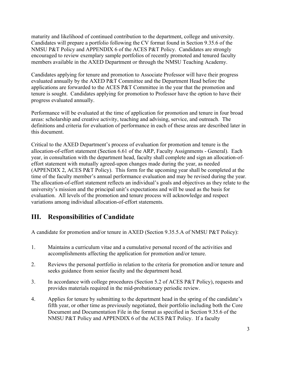Candidates will prepare a portfolio following the CV format found in Section 9.35.6 of the maturity and likelihood of continued contribution to the department, college and university. NMSU P&T Policy and APPENDIX 6 of the ACES P&T Policy. Candidates are strongly encouraged to review exemplary sample portfolios of recently promoted and tenured faculty members available in the AXED Department or through the NMSU Teaching Academy.

 evaluated annually by the AXED P&T Committee and the Department Head before the applications are forwarded to the ACES P&T Committee in the year that the promotion and Candidates applying for tenure and promotion to Associate Professor will have their progress tenure is sought. Candidates applying for promotion to Professor have the option to have their progress evaluated annually.

 Performance will be evaluated at the time of application for promotion and tenure in four broad definitions and criteria for evaluation of performance in each of these areas are described later in areas: scholarship and creative activity, teaching and advising, service, and outreach. The this document.

 Critical to the AXED Department's process of evaluation for promotion and tenure is the allocation-of-effort statement (Section 6.61 of the ARP, Faculty Assignments - General). Each year, in consultation with the department head, faculty shall complete and sign an allocation-ofeffort statement with mutually agreed-upon changes made during the year, as needed (APPENDIX 2, ACES P&T Policy). This form for the upcoming year shall be completed at the time of the faculty member's annual performance evaluation and may be revised during the year. The allocation-of-effort statement reflects an individual's goals and objectives as they relate to the university's mission and the principal unit's expectations and will be used as the basis for evaluation. All levels of the promotion and tenure process will acknowledge and respect variations among individual allocation-of-effort statements.

#### **III. Responsibilities of Candidate**

A candidate for promotion and/or tenure in AXED (Section 9.35.5.A of NMSU P&T Policy):

- 1. Maintains a curriculum vitae and a cumulative personal record of the activities and accomplishments affecting the application for promotion and/or tenure.
- 2. Reviews the personal portfolio in relation to the criteria for promotion and/or tenure and seeks guidance from senior faculty and the department head.
- 3. In accordance with college procedures (Section 5.2 of ACES P&T Policy), requests and provides materials required in the mid-probationary periodic review.
- NMSU P&T Policy and APPENDIX 6 of the ACES P&T Policy. If a faculty 4. Applies for tenure by submitting to the department head in the spring of the candidate's fifth year, or other time as previously negotiated, their portfolio including both the Core Document and Documentation File in the format as specified in Section 9.35.6 of the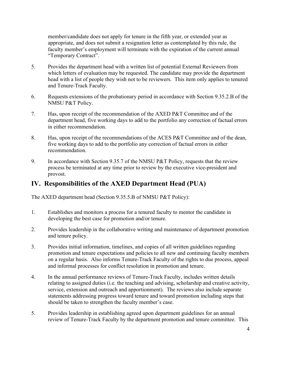member/candidate does not apply for tenure in the fifth year, or extended year as appropriate, and does not submit a resignation letter as contemplated by this rule, the faculty member's employment will terminate with the expiration of the current annual "Temporary Contract".

- 5. Provides the department head with a written list of potential External Reviewers from which letters of evaluation may be requested. The candidate may provide the department head with a list of people they wish not to be reviewers. This item only applies to tenured and Tenure-Track Faculty.
- 6. Requests extensions of the probationary period in accordance with Section 9.35.2.B of the NMSU P&T Policy.
- 7. Has, upon receipt of the recommendation of the AXED P&T Committee and of the department head, five working days to add to the portfolio any correction of factual errors in either recommendation.
- 8. Has, upon receipt of the recommendations of the ACES P&T Committee and of the dean, five working days to add to the portfolio any correction of factual errors in either recommendation.
- 9. In accordance with Section 9.35.7 of the NMSU P&T Policy, requests that the review process be terminated at any time prior to review by the executive vice-president and provost.

# **IV. Responsibilities of the AXED Department Head (PUA)**

The AXED department head (Section 9.35.5.B of NMSU P&T Policy):

- 1. Establishes and monitors a process for a tenured faculty to mentor the candidate in developing the best case for promotion and/or tenure.
- 2. Provides leadership in the collaborative writing and maintenance of department promotion and tenure policy.
- on a regular basis. Also informs Tenure-Track Faculty of the rights to due process, appeal 3. Provides initial information, timelines, and copies of all written guidelines regarding promotion and tenure expectations and policies to all new and continuing faculty members and informal processes for conflict resolution in promotion and tenure.
- 4. In the annual performance reviews of Tenure-Track Faculty, includes written details relating to assigned duties (i.e. the teaching and advising, scholarship and creative activity, service, extension and outreach and apportionment). The reviews also include separate statements addressing progress toward tenure and toward promotion including steps that should be taken to strengthen the faculty member's case.
- review of Tenure-Track Faculty by the department promotion and tenure committee. This 5. Provides leadership in establishing agreed upon department guidelines for an annual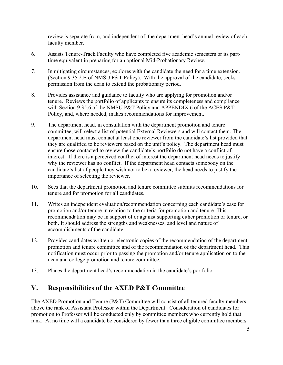review is separate from, and independent of, the department head's annual review of each faculty member.

- 6. Assists Tenure-Track Faculty who have completed five academic semesters or its parttime equivalent in preparing for an optional Mid-Probationary Review.
- 7. In mitigating circumstances, explores with the candidate the need for a time extension. (Section 9.35.2.B of NMSU P&T Policy). With the approval of the candidate, seeks permission from the dean to extend the probationary period.
- tenure. Reviews the portfolio of applicants to ensure its completeness and compliance 8. Provides assistance and guidance to faculty who are applying for promotion and/or with Section 9.35.6 of the NMSU P&T Policy and APPENDIX 6 of the ACES P&T Policy, and, where needed, makes recommendations for improvement.
- 9. The department head, in consultation with the department promotion and tenure committee, will select a list of potential External Reviewers and will contact them. The department head must contact at least one reviewer from the candidate's list provided that they are qualified to be reviewers based on the unit's policy. The department head must ensure those contacted to review the candidate's portfolio do not have a conflict of interest. If there is a perceived conflict of interest the department head needs to justify why the reviewer has no conflict. If the department head contacts somebody on the candidate's list of people they wish not to be a reviewer, the head needs to justify the importance of selecting the reviewer.
- 10. Sees that the department promotion and tenure committee submits recommendations for tenure and for promotion for all candidates.
- 11. Writes an independent evaluation/recommendation concerning each candidate's case for promotion and/or tenure in relation to the criteria for promotion and tenure. This recommendation may be in support of or against supporting either promotion or tenure, or both. It should address the strengths and weaknesses, and level and nature of accomplishments of the candidate.
- promotion and tenure committee and of the recommendation of the department head. This 12. Provides candidates written or electronic copies of the recommendation of the department notification must occur prior to passing the promotion and/or tenure application on to the dean and college promotion and tenure committee.
- 13. Places the department head's recommendation in the candidate's portfolio.

#### **V**. **V. Responsibilities of the AXED P&T Committee**

The AXED Promotion and Tenure (P&T) Committee will consist of all tenured faculty members above the rank of Assistant Professor within the Department. Consideration of candidates for promotion to Professor will be conducted only by committee members who currently hold that rank. At no time will a candidate be considered by fewer than three eligible committee members.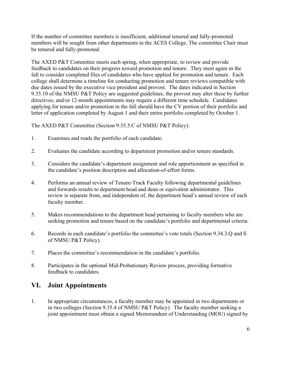If the number of committee members is insufficient, additional tenured and fully-promoted members will be sought from other departments in the ACES College. The committee Chair must be tenured and fully-promoted.

 due dates issued by the executive vice president and provost. The dates indicated in Section The AXED P&T Committee meets each spring, when appropriate, to review and provide feedback to candidates on their progress toward promotion and tenure. They meet again in the fall to consider completed files of candidates who have applied for promotion and tenure. Each college shall determine a timeline for conducting promotion and tenure reviews compatible with 9.35.10 of the NMSU P&T Policy are suggested guidelines; the provost may alter these by further directives; and/or 12-month appointments may require a different time schedule. Candidates applying for tenure and/or promotion in the fall should have the CV portion of their portfolio and letter of application completed by August 1 and their entire portfolio completed by October 1.

The AXED P&T Committee (Section 9.35.5.C of NMSU P&T Policy):

- 1. Examines and reads the portfolio of each candidate.
- 2. Evaluates the candidate according to department promotion and/or tenure standards.
- 3. Considers the candidate's department assignment and role apportionment as specified in the candidate's position description and allocation-of-effort forms.
- 4. Performs an annual review of Tenure-Track Faculty following departmental guidelines and forwards results to department head and dean or equivalent administrator. This review is separate from, and independent of, the department head's annual review of each faculty member.
- 5. Makes recommendations to the department head pertaining to faculty members who are seeking promotion and tenure based on the candidate's portfolio and departmental criteria.
- 6. Records in each candidate's portfolio the committee's vote totals (Section 9.34.3.Q and S of NMSU P&T Policy).
- 7. Places the committee's recommendation in the candidate's portfolio.
- 8. Participates in the optional Mid-Probationary Review process, providing formative feedback to candidates.

# **VI. Joint Appointments**

 in two colleges (Section 9.35.4 of NMSU P&T Policy). The faculty member seeking a 1. In appropriate circumstances, a faculty member may be appointed in two departments or joint appointment must obtain a signed Memorandum of Understanding (MOU) signed by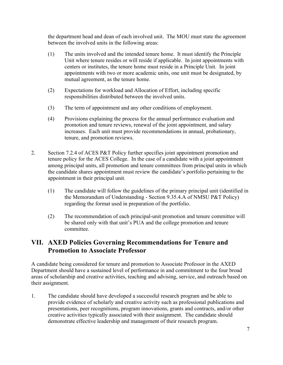the department head and dean of each involved unit. The MOU must state the agreement between the involved units in the following areas:

- (1) The units involved and the intended tenure home. It must identify the Principle Unit where tenure resides or will reside if applicable. In joint appointments with centers or institutes, the tenure home must reside in a Principle Unit. In joint appointments with two or more academic units, one unit must be designated, by mutual agreement, as the tenure home.
- (2) Expectations for workload and Allocation of Effort, including specific responsibilities distributed between the involved units.
- (3) The term of appointment and any other conditions of employment.
- (4) Provisions explaining the process for the annual performance evaluation and promotion and tenure reviews, renewal of the joint appointment, and salary increases. Each unit must provide recommendations in annual, probationary, tenure, and promotion reviews.
- tenure policy for the ACES College. In the case of a candidate with a joint appointment 2. Section 7.2.4 of ACES P&T Policy further specifies joint appointment promotion and among principal units, all promotion and tenure committees from principal units in which the candidate shares appointment must review the candidate's portfolio pertaining to the appointment in their principal unit*.* 
	- (1) The candidate will follow the guidelines of the primary principal unit (identified in the Memorandum of Understanding - Section 9.35.4.A of NMSU P&T Policy) regarding the format used in preparation of the portfolio.
	- (2) The recommendation of each principal-unit promotion and tenure committee will be shared only with that unit's PUA and the college promotion and tenure committee.

### **VII. AXED Policies Governing Recommendations for Tenure and Promotion to Associate Professor**

A candidate being considered for tenure and promotion to Associate Professor in the AXED Department should have a sustained level of performance in and commitment to the four broad areas of scholarship and creative activities, teaching and advising, service, and outreach based on their assignment.

1. The candidate should have developed a successful research program and be able to provide evidence of scholarly and creative activity such as professional publications and presentations, peer recognitions, program innovations, grants and contracts, and/or other creative activities typically associated with their assignment. The candidate should demonstrate effective leadership and management of their research program.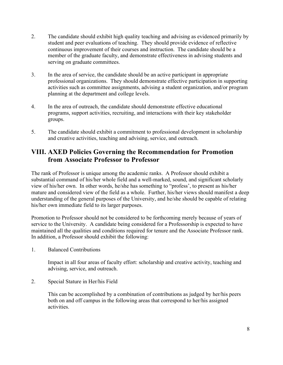- 2. The candidate should exhibit high quality teaching and advising as evidenced primarily by student and peer evaluations of teaching. They should provide evidence of reflective continuous improvement of their courses and instruction. The candidate should be a member of the graduate faculty, and demonstrate effectiveness in advising students and serving on graduate committees.
- activities such as committee assignments, advising a student organization, and/or program 3. In the area of service, the candidate should be an active participant in appropriate professional organizations. They should demonstrate effective participation in supporting planning at the department and college levels.
- 4. In the area of outreach, the candidate should demonstrate effective educational programs, support activities, recruiting, and interactions with their key stakeholder groups.
- 5. The candidate should exhibit a commitment to professional development in scholarship and creative activities, teaching and advising, service, and outreach.

# **VIII. AXED Policies Governing the Recommendation for Promotion from Associate Professor to Professor**

 his/her own immediate field to its larger purposes. The rank of Professor is unique among the academic ranks. A Professor should exhibit a substantial command of his/her whole field and a well-marked, sound, and significant scholarly view of his/her own. In other words, he/she has something to "profess', to present as his/her mature and considered view of the field as a whole. Further, his/her views should manifest a deep understanding of the general purposes of the University, and he/she should be capable of relating

Promotion to Professor should not be considered to be forthcoming merely because of years of service to the University. A candidate being considered for a Professorship is expected to have maintained all the qualities and conditions required for tenure and the Associate Professor rank. In addition, a Professor should exhibit the following:

**Balanced Contributions** 

1. Balanced Contributions Impact in all four areas of faculty effort: scholarship and creative activity, teaching and advising, service, and outreach.

2. Special Stature in Her/his Field

 This can be accomplished by a combination of contributions as judged by her/his peers both on and off campus in the following areas that correspond to her/his assigned activities.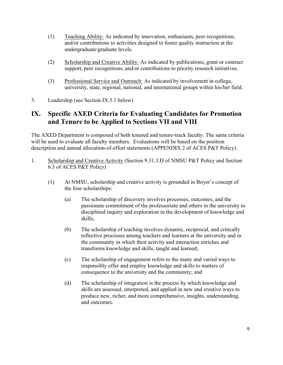- undergraduate/graduate levels. (1) Teaching Ability: As indicated by innovation, enthusiasm, peer recognitions, and/or contributions to activities designed to foster quality instruction at the
- (2) Scholarship and Creative Ability: As indicated by publications, grant or contract support, peer recognitions, and/or contributions to priority research initiatives.
- (3) Professional Service and Outreach: As indicated by involvement in college, university, state, regional, national, and international groups within his/her field.
- 3. Leadership (see Section IX.5.1 below)

# **IX. Specific AXED Criteria for Evaluating Candidates for Promotion and Tenure to be Applied to Sections VII and VIII**

 will be used to evaluate all faculty members. Evaluations will be based on the position The AXED Department is composed of both tenured and tenure-track faculty. The same criteria description and annual allocation-of-effort statements (APPENDIX 2 of ACES P&T Policy).

- 1. Scholarship and Creative Activity (Section 9.31.3.D of NMSU P&T Policy and Section 6.3 of ACES P&T Policy)
	- (1) At NMSU, scholarship and creative activity is grounded in Boyer's concept of the four scholarships:
		- (a) The scholarship of discovery involves processes, outcomes, and the passionate commitment of the professoriate and others in the university to disciplined inquiry and exploration in the development of knowledge and skills;
		- (b) The scholarship of teaching involves dynamic, reciprocal, and critically reflective processes among teachers and learners at the university and in the community in which their activity and interaction enriches and transforms knowledge and skills, taught and learned;
		- (c) The scholarship of engagement refers to the many and varied ways to responsibly offer and employ knowledge and skills to matters of consequence to the university and the community; and
		- (d) The scholarship of integration is the process by which knowledge and skills are assessed, interpreted, and applied in new and creative ways to produce new, richer, and more comprehensive, insights, understanding, and outcomes.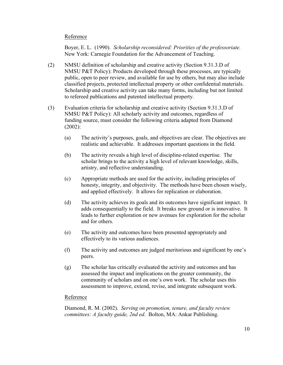### Reference

 Boyer, E. L. (1990). *Scholarship reconsidered: Priorities of the professoriate.*  New York: Carnegie Foundation for the Advancement of Teaching.

- (2) NMSU definition of scholarship and creative activity (Section 9.31.3.D of NMSU P&T Policy): Products developed through these processes, are typically public, open to peer review, and available for use by others, but may also include classified projects, protected intellectual property or other confidential materials. Scholarship and creative activity can take many forms, including but not limited to refereed publications and patented intellectual property.
- (3) Evaluation criteria for scholarship and creative activity (Section 9.31.3.D of NMSU P&T Policy): All scholarly activity and outcomes, regardless of funding source, must consider the following criteria adapted from Diamond (2002):
	- (a) The activity's purposes, goals, and objectives are clear. The objectives are realistic and achievable. It addresses important questions in the field.
	- (b) The activity reveals a high level of discipline-related expertise. The scholar brings to the activity a high level of relevant knowledge, skills, artistry, and reflective understanding.
	- (c) Appropriate methods are used for the activity, including principles of honesty, integrity, and objectivity. The methods have been chosen wisely, and applied effectively. It allows for replication or elaboration.
	- (d) The activity achieves its goals and its outcomes have significant impact. It adds consequentially to the field. It breaks new ground or is innovative. It leads to further exploration or new avenues for exploration for the scholar and for others.
	- (e) The activity and outcomes have been presented appropriately and effectively to its various audiences.
	- (f) The activity and outcomes are judged meritorious and significant by one's peers.
	- (g) The scholar has critically evaluated the activity and outcomes and has assessed the impact and implications on the greater community, the community of scholars and on one's own work. The scholar uses this assessment to improve, extend, revise, and integrate subsequent work.

### Reference

Diamond, R. M. (2002). *Serving on promotion, tenure, and faculty review committees: A faculty guide, 2nd ed.* Bolton, MA: Ankar Publishing.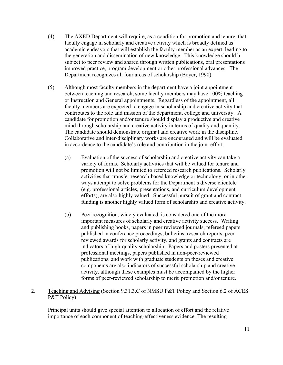- (4) The AXED Department will require, as a condition for promotion and tenure, that faculty engage in scholarly and creative activity which is broadly defined as academic endeavors that will establish the faculty member as an expert, leading to the generation and dissemination of new knowledge. This knowledge should b subject to peer review and shared through written publications, oral presentations improved practice, program development or other professional advances. The Department recognizes all four areas of scholarship (Boyer, 1990).
- (5) Although most faculty members in the department have a joint appointment between teaching and research, some faculty members may have 100% teaching or Instruction and General appointments. Regardless of the appointment, all faculty members are expected to engage in scholarship and creative activity that contributes to the role and mission of the department, college and university. A candidate for promotion and/or tenure should display a productive and creative mind through scholarship and creative activity in terms of quality and quantity. The candidate should demonstrate original and creative work in the discipline. Collaborative and inter-disciplinary works are encouraged and will be evaluated in accordance to the candidate's role and contribution in the joint effort.
	- efforts), are also highly valued. Successful pursuit of grant and contract (a) Evaluation of the success of scholarship and creative activity can take a variety of forms. Scholarly activities that will be valued for tenure and promotion will not be limited to refereed research publications. Scholarly activities that transfer research-based knowledge or technology, or in other ways attempt to solve problems for the Department's diverse clientele (e.g. professional articles, presentations, and curriculum development funding is another highly valued form of scholarship and creative activity.
	- reviewed awards for scholarly activity, and grants and contracts are publications, and work with graduate students on theses and creative (b) Peer recognition, widely evaluated, is considered one of the more important measures of scholarly and creative activity success. Writing and publishing books, papers in peer reviewed journals, refereed papers published in conference proceedings, bulletins, research reports, peer indicators of high-quality scholarship. Papers and posters presented at professional meetings, papers published in non-peer-reviewed components are also indicators of successful scholarship and creative activity, although these examples must be accompanied by the higher forms of peer-reviewed scholarship to merit promotion and/or tenure.
- 2. Teaching and Advising (Section 9.31.3.C of NMSU P&T Policy and Section 6.2 of ACES P&T Policy)

Principal units should give special attention to allocation of effort and the relative importance of each component of teaching-effectiveness evidence. The resulting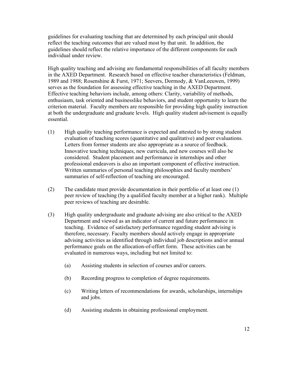guidelines for evaluating teaching that are determined by each principal unit should reflect the teaching outcomes that are valued most by that unit. In addition, the guidelines should reflect the relative importance of the different components for each individual under review.

 in the AXED Department. Research based on effective teacher characteristics (Feldman, High quality teaching and advising are fundamental responsibilities of all faculty members 1989 and 1988; Rosenshine & Furst, 1971; Seevers, Dormody, & VanLeeuwen, 1999) serves as the foundation for assessing effective teaching in the AXED Department. Effective teaching behaviors include, among others: Clarity, variability of methods, enthusiasm, task oriented and businesslike behaviors, and student opportunity to learn the criterion material. Faculty members are responsible for providing high quality instruction at both the undergraduate and graduate levels. High quality student advisement is equally essential.

- evaluation of teaching scores (quantitative and qualitative) and peer evaluations. (1) High quality teaching performance is expected and attested to by strong student Letters from former students are also appropriate as a source of feedback. Innovative teaching techniques, new curricula, and new courses will also be considered. Student placement and performance in internships and other professional endeavors is also an important component of effective instruction. Written summaries of personal teaching philosophies and faculty members' summaries of self-reflection of teaching are encouraged.
- peer review of teaching (by a qualified faculty member at a higher rank). Multiple (2) The candidate must provide documentation in their portfolio of at least one (1) peer reviews of teaching are desirable.
- Department and viewed as an indicator of current and future performance in performance goals on the allocation-of-effort form. These activities can be (3) High quality undergraduate and graduate advising are also critical to the AXED teaching. Evidence of satisfactory performance regarding student advising is therefore, necessary. Faculty members should actively engage in appropriate advising activities as identified through individual job descriptions and/or annual evaluated in numerous ways, including but not limited to:
	- (a) Assisting students in selection of courses and/or careers.
	- (b) Recording progress to completion of degree requirements.
	- (c) Writing letters of recommendations for awards, scholarships, internships and jobs.
	- (d) Assisting students in obtaining professional employment.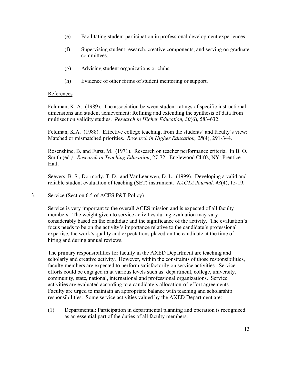- (e) Facilitating student participation in professional development experiences.
- (f) Supervising student research, creative components, and serving on graduate committees.
- (g) Advising student organizations or clubs.
- (h) Evidence of other forms of student mentoring or support.

### References

Feldman, K. A. (1989). The association between student ratings of specific instructional dimensions and student achievement: Refining and extending the synthesis of data from multisection validity studies. *Research in Higher Education, 30*(6), 583-632.

Feldman, K.A. (1988). Effective college teaching, from the students' and faculty's view: Matched or mismatched priorities. *Research in Higher Education, 28*(4), 291-344.

Rosenshine, B. and Furst, M. (1971). Research on teacher performance criteria. In B. O. Smith (ed*.). Research in Teaching Education*, 27-72. Englewood Cliffs, NY: Prentice Hall.

Seevers, B. S., Dormody, T. D., and VanLeeuwen, D. L. (1999). Developing a valid and reliable student evaluation of teaching (SET) instrument. *NACTA Journal, 43*(4), 15-19.

3. Service (Section 6.5 of ACES P&T Policy)

Service is very important to the overall ACES mission and is expected of all faculty members. The weight given to service activities during evaluation may vary considerably based on the candidate and the significance of the activity. The evaluation's focus needs to be on the activity's importance relative to the candidate's professional expertise, the work's quality and expectations placed on the candidate at the time of hiring and during annual reviews.

 responsibilities. Some service activities valued by the AXED Department are: The primary responsibilities for faculty in the AXED Department are teaching and scholarly and creative activity. However, within the constraints of those responsibilities, faculty members are expected to perform satisfactorily on service activities. Service efforts could be engaged in at various levels such as: department, college, university, community, state, national, international and professional organizations. Service activities are evaluated according to a candidate's allocation-of-effort agreements. Faculty are urged to maintain an appropriate balance with teaching and scholarship

(1) Departmental: Participation in departmental planning and operation is recognized as an essential part of the duties of all faculty members.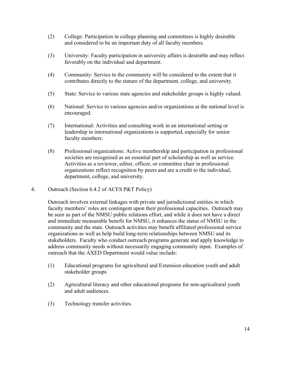- (2) College: Participation in college planning and committees is highly desirable and considered to be an important duty of all faculty members.
- (3) University: Faculty participation in university affairs is desirable and may reflect favorably on the individual and department.
- (4) Community: Service to the community will be considered to the extent that it contributes directly to the stature of the department, college, and university.
- (5) State: Service to various state agencies and stakeholder groups is highly valued.
- (6) National: Service to various agencies and/or organizations at the national level is encouraged.
- (7) International: Activities and consulting work in an international setting or leadership in international organizations is supported, especially for senior faculty members.
- (8) Professional organizations: Active membership and participation in professional societies are recognized as an essential part of scholarship as well as service. Activities as a reviewer, editor, officer, or committee chair in professional organizations reflect recognition by peers and are a credit to the individual, department, college, and university.
- 4. Outreach (Section 6.4.2 of ACES P&T Policy)

 outreach that the AXED Department would value include: Outreach involves external linkages with private and jurisdictional entities in which faculty members' roles are contingent upon their professional capacities. Outreach may be seen as part of the NMSU public relations effort, and while it does not have a direct and immediate measurable benefit for NMSU, it enhances the status of NMSU in the community and the state. Outreach activities may benefit affiliated professional service organizations as well as help build long-term relationships between NMSU and its stakeholders. Faculty who conduct outreach programs generate and apply knowledge to address community needs without necessarily engaging community input. Examples of

- (1) Educational programs for agricultural and Extension education youth and adult stakeholder groups
- (2) Agricultural literacy and other educational programs for non-agricultural youth and adult audiences.
- (3) Technology transfer activities.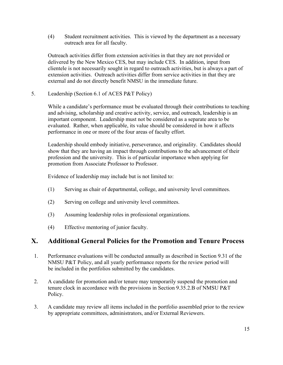(4) Student recruitment activities. This is viewed by the department as a necessary outreach area for all faculty.

Outreach activities differ from extension activities in that they are not provided or delivered by the New Mexico CES, but may include CES. In addition, input from clientele is not necessarily sought in regard to outreach activities, but is always a part of extension activities. Outreach activities differ from service activities in that they are external and do not directly benefit NMSU in the immediate future.

5. Leadership (Section 6.1 of ACES P&T Policy)

While a candidate's performance must be evaluated through their contributions to teaching and advising, scholarship and creative activity, service, and outreach, leadership is an important component. Leadership must not be considered as a separate area to be evaluated. Rather, when applicable, its value should be considered in how it affects performance in one or more of the four areas of faculty effort.

Leadership should embody initiative, perseverance, and originality. Candidates should show that they are having an impact through contributions to the advancement of their profession and the university. This is of particular importance when applying for promotion from Associate Professor to Professor.

Evidence of leadership may include but is not limited to:

- (1) Serving as chair of departmental, college, and university level committees.
- (2) Serving on college and university level committees.
- (3) Assuming leadership roles in professional organizations.
- (4) Effective mentoring of junior faculty.

### **X. Additional General Policies for the Promotion and Tenure Process**

- 1. Performance evaluations will be conducted annually as described in Section 9.31 of the NMSU P&T Policy, and all yearly performance reports for the review period will be included in the portfolios submitted by the candidates.
- tenure clock in accordance with the provisions in Section 9.35.2.B of NMSU P&T 2. A candidate for promotion and/or tenure may temporarily suspend the promotion and Policy.
- 3. A candidate may review all items included in the portfolio assembled prior to the review by appropriate committees, administrators, and/or External Reviewers.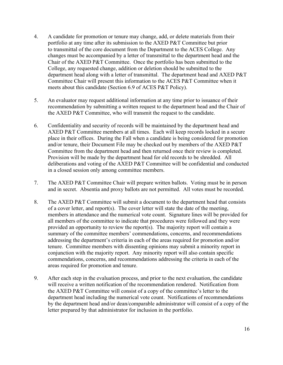- Committee Chair will present this information to the ACES P&T Committee when it 4. A candidate for promotion or tenure may change, add, or delete materials from their portfolio at any time after its submission to the AXED P&T Committee but prior to transmittal of the core document from the Department to the ACES College. Any changes must be accompanied by a letter of transmittal to the department head and the Chair of the AXED P&T Committee. Once the portfolio has been submitted to the College, any requested change, addition or deletion should be submitted to the department head along with a letter of transmittal. The department head and AXED P&T meets about this candidate (Section 6.9 of ACES P&T Policy).
- 5. An evaluator may request additional information at any time prior to issuance of their recommendation by submitting a written request to the department head and the Chair of the AXED P&T Committee, who will transmit the request to the candidate.
- place in their offices. During the Fall when a candidate is being considered for promotion 6. Confidentiality and security of records will be maintained by the department head and AXED P&T Committee members at all times. Each will keep records locked in a secure and/or tenure, their Document File may be checked out by members of the AXED P&T Committee from the department head and then returned once their review is completed. Provision will be made by the department head for old records to be shredded. All deliberations and voting of the AXED P&T Committee will be confidential and conducted in a closed session only among committee members.
- and in secret. Absentia and proxy ballots are not permitted. All votes must be recorded. 7. The AXED P&T Committee Chair will prepare written ballots. Voting must be in person
- 8. The AXED P&T Committee will submit a document to the department head that consists of a cover letter, and report(s). The cover letter will state the date of the meeting, members in attendance and the numerical vote count. Signature lines will be provided for all members of the committee to indicate that procedures were followed and they were provided an opportunity to review the report(s). The majority report will contain a summary of the committee members' commendations, concerns, and recommendations addressing the department's criteria in each of the areas required for promotion and/or tenure. Committee members with dissenting opinions may submit a minority report in conjunction with the majority report. Any minority report will also contain specific commendations, concerns, and recommendations addressing the criteria in each of the areas required for promotion and tenure.
- will receive a written notification of the recommendation rendered. Notification from letter prepared by that administrator for inclusion in the portfolio. 9. After each step in the evaluation process, and prior to the next evaluation, the candidate the AXED P&T Committee will consist of a copy of the committee's letter to the department head including the numerical vote count. Notifications of recommendations by the department head and/or dean/comparable administrator will consist of a copy of the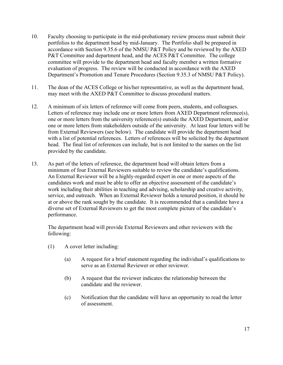- P&T Committee and department head, and the ACES P&T Committee. The college evaluation of progress. The review will be conducted in accordance with the AXED 10. Faculty choosing to participate in the mid-probationary review process must submit their portfolios to the department head by mid-January. The Portfolio shall be prepared in accordance with Section 9.35.6 of the NMSU P&T Policy and be reviewed by the AXED committee will provide to the department head and faculty member a written formative Department's Promotion and Tenure Procedures (Section 9.35.3 of NMSU P&T Policy).
- may meet with the AXED P&T Committee to discuss procedural matters. 11. The dean of the ACES College or his/her representative, as well as the department head,
- 12. A minimum of six letters of reference will come from peers, students, and colleagues. Letters of reference may include one or more letters from AXED Department reference(s), one or more letters from the university reference(s) outside the AXED Department, and/or one or more letters from stakeholders outside of the university. At least four letters will be from External Reviewers (see below). The candidate will provide the department head with a list of potential references. Letters of references will be solicited by the department head. The final list of references can include, but is not limited to the names on the list provided by the candidate.
- 13. As part of the letters of reference, the department head will obtain letters from a minimum of four External Reviewers suitable to review the candidate's qualifications. An External Reviewer will be a highly-regarded expert in one or more aspects of the candidates work and must be able to offer an objective assessment of the candidate's work including their abilities in teaching and advising, scholarship and creative activity, service, and outreach. When an External Reviewer holds a tenured position, it should be at or above the rank sought by the candidate. It is recommended that a candidate have a diverse set of External Reviewers to get the most complete picture of the candidate's performance.

The department head will provide External Reviewers and other reviewers with the following:

- (1) A cover letter including:
	- (a) A request for a brief statement regarding the individual's qualifications to serve as an External Reviewer or other reviewer.
	- (b) A request that the reviewer indicates the relationship between the candidate and the reviewer.
	- (c) Notification that the candidate will have an opportunity to read the letter of assessment.